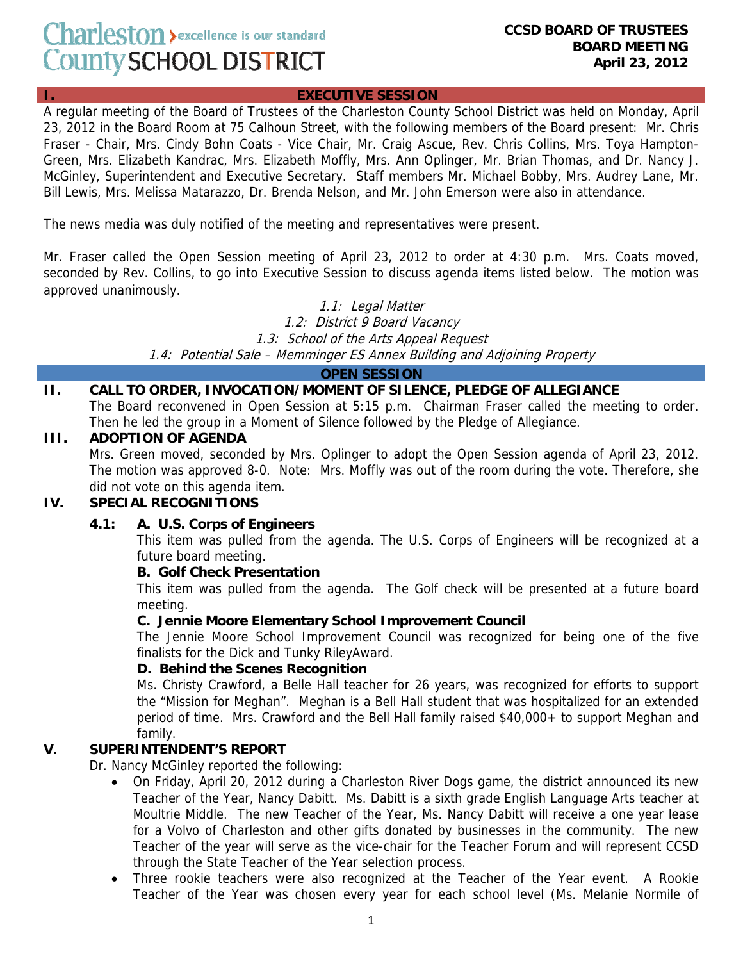# Charleston > excellence is our standard County SCHOOL DISTRICT

## **EXECUTIVE SESSION**

A regular meeting of the Board of Trustees of the Charleston County School District was held on Monday, April 23, 2012 in the Board Room at 75 Calhoun Street, with the following members of the Board present: Mr. Chris Fraser - Chair, Mrs. Cindy Bohn Coats - Vice Chair, Mr. Craig Ascue, Rev. Chris Collins, Mrs. Toya Hampton-Green, Mrs. Elizabeth Kandrac, Mrs. Elizabeth Moffly, Mrs. Ann Oplinger, Mr. Brian Thomas, and Dr. Nancy J. McGinley, Superintendent and Executive Secretary. Staff members Mr. Michael Bobby, Mrs. Audrey Lane, Mr. Bill Lewis, Mrs. Melissa Matarazzo, Dr. Brenda Nelson, and Mr. John Emerson were also in attendance.

The news media was duly notified of the meeting and representatives were present.

Mr. Fraser called the Open Session meeting of April 23, 2012 to order at 4:30 p.m. Mrs. Coats moved, seconded by Rev. Collins, to go into Executive Session to discuss agenda items listed below. The motion was approved unanimously.

> 1.1: Legal Matter 1.2: District 9 Board Vacancy 1.3: School of the Arts Appeal Request 1.4: Potential Sale – Memminger ES Annex Building and Adjoining Property

> > **OPEN SESSION**

## **II. CALL TO ORDER, INVOCATION/MOMENT OF SILENCE, PLEDGE OF ALLEGIANCE**

The Board reconvened in Open Session at 5:15 p.m. Chairman Fraser called the meeting to order. Then he led the group in a Moment of Silence followed by the Pledge of Allegiance.

### **III. ADOPTION OF AGENDA**

Mrs. Green moved, seconded by Mrs. Oplinger to adopt the Open Session agenda of April 23, 2012. The motion was approved 8-0. Note: Mrs. Moffly was out of the room during the vote. Therefore, she did not vote on this agenda item.

# **IV. SPECIAL RECOGNITIONS**

### **4.1: A. U.S. Corps of Engineers**

This item was pulled from the agenda. The U.S. Corps of Engineers will be recognized at a future board meeting.

## **B. Golf Check Presentation**

This item was pulled from the agenda. The Golf check will be presented at a future board meeting.

### **C. Jennie Moore Elementary School Improvement Council**

The Jennie Moore School Improvement Council was recognized for being one of the five finalists for the Dick and Tunky RileyAward.

### **D. Behind the Scenes Recognition**

Ms. Christy Crawford, a Belle Hall teacher for 26 years, was recognized for efforts to support the "Mission for Meghan". Meghan is a Bell Hall student that was hospitalized for an extended period of time. Mrs. Crawford and the Bell Hall family raised \$40,000+ to support Meghan and family.

# **V. SUPERINTENDENT'S REPORT**

Dr. Nancy McGinley reported the following:

- On Friday, April 20, 2012 during a Charleston River Dogs game, the district announced its new Teacher of the Year, Nancy Dabitt. Ms. Dabitt is a sixth grade English Language Arts teacher at Moultrie Middle. The new Teacher of the Year, Ms. Nancy Dabitt will receive a one year lease for a Volvo of Charleston and other gifts donated by businesses in the community. The new Teacher of the year will serve as the vice-chair for the Teacher Forum and will represent CCSD through the State Teacher of the Year selection process.
- Three rookie teachers were also recognized at the Teacher of the Year event. A Rookie Teacher of the Year was chosen every year for each school level (Ms. Melanie Normile of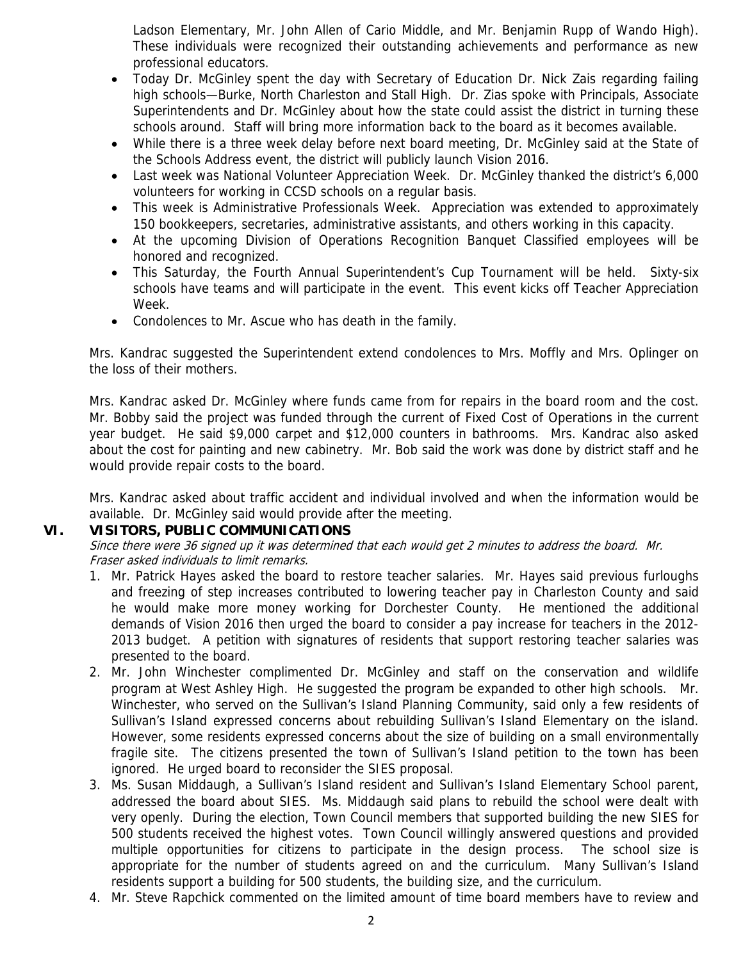Ladson Elementary, Mr. John Allen of Cario Middle, and Mr. Benjamin Rupp of Wando High). These individuals were recognized their outstanding achievements and performance as new professional educators.

- Today Dr. McGinley spent the day with Secretary of Education Dr. Nick Zais regarding failing high schools—Burke, North Charleston and Stall High. Dr. Zias spoke with Principals, Associate Superintendents and Dr. McGinley about how the state could assist the district in turning these schools around. Staff will bring more information back to the board as it becomes available.
- While there is a three week delay before next board meeting, Dr. McGinley said at the State of the Schools Address event, the district will publicly launch Vision 2016.
- Last week was National Volunteer Appreciation Week. Dr. McGinley thanked the district's 6,000 volunteers for working in CCSD schools on a regular basis.
- This week is Administrative Professionals Week. Appreciation was extended to approximately 150 bookkeepers, secretaries, administrative assistants, and others working in this capacity.
- At the upcoming Division of Operations Recognition Banquet Classified employees will be honored and recognized.
- This Saturday, the Fourth Annual Superintendent's Cup Tournament will be held. Sixty-six schools have teams and will participate in the event. This event kicks off Teacher Appreciation Week.
- Condolences to Mr. Ascue who has death in the family.

Mrs. Kandrac suggested the Superintendent extend condolences to Mrs. Moffly and Mrs. Oplinger on the loss of their mothers.

Mrs. Kandrac asked Dr. McGinley where funds came from for repairs in the board room and the cost. Mr. Bobby said the project was funded through the current of Fixed Cost of Operations in the current year budget. He said \$9,000 carpet and \$12,000 counters in bathrooms. Mrs. Kandrac also asked about the cost for painting and new cabinetry. Mr. Bob said the work was done by district staff and he would provide repair costs to the board.

Mrs. Kandrac asked about traffic accident and individual involved and when the information would be available. Dr. McGinley said would provide after the meeting.

# **VI. VISITORS, PUBLIC COMMUNICATIONS**

Since there were 36 signed up it was determined that each would get 2 minutes to address the board. Mr. Fraser asked individuals to limit remarks.

- 1. Mr. Patrick Hayes asked the board to restore teacher salaries. Mr. Hayes said previous furloughs and freezing of step increases contributed to lowering teacher pay in Charleston County and said he would make more money working for Dorchester County. He mentioned the additional demands of Vision 2016 then urged the board to consider a pay increase for teachers in the 2012- 2013 budget. A petition with signatures of residents that support restoring teacher salaries was presented to the board.
- 2. Mr. John Winchester complimented Dr. McGinley and staff on the conservation and wildlife program at West Ashley High. He suggested the program be expanded to other high schools. Mr. Winchester, who served on the Sullivan's Island Planning Community, said only a few residents of Sullivan's Island expressed concerns about rebuilding Sullivan's Island Elementary on the island. However, some residents expressed concerns about the size of building on a small environmentally fragile site. The citizens presented the town of Sullivan's Island petition to the town has been ignored. He urged board to reconsider the SIES proposal.
- 3. Ms. Susan Middaugh, a Sullivan's Island resident and Sullivan's Island Elementary School parent, addressed the board about SIES. Ms. Middaugh said plans to rebuild the school were dealt with very openly. During the election, Town Council members that supported building the new SIES for 500 students received the highest votes. Town Council willingly answered questions and provided multiple opportunities for citizens to participate in the design process. The school size is appropriate for the number of students agreed on and the curriculum. Many Sullivan's Island residents support a building for 500 students, the building size, and the curriculum.
- 4. Mr. Steve Rapchick commented on the limited amount of time board members have to review and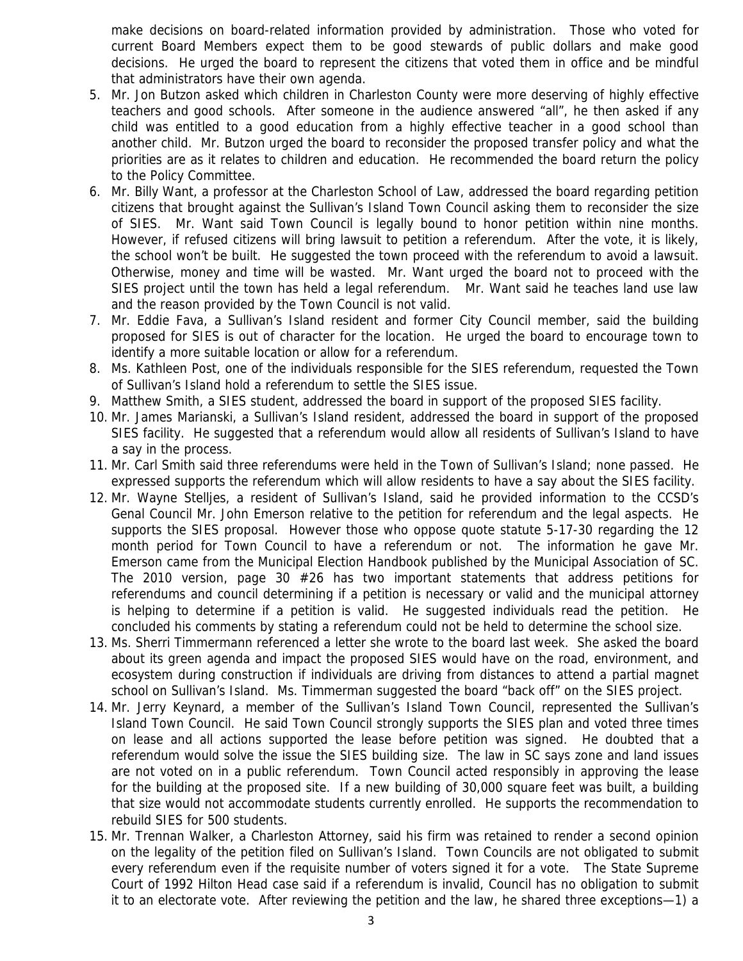make decisions on board-related information provided by administration. Those who voted for current Board Members expect them to be good stewards of public dollars and make good decisions. He urged the board to represent the citizens that voted them in office and be mindful that administrators have their own agenda.

- 5. Mr. Jon Butzon asked which children in Charleston County were more deserving of highly effective teachers and good schools. After someone in the audience answered "all", he then asked if any child was entitled to a good education from a highly effective teacher in a good school than another child. Mr. Butzon urged the board to reconsider the proposed transfer policy and what the priorities are as it relates to children and education. He recommended the board return the policy to the Policy Committee.
- 6. Mr. Billy Want, a professor at the Charleston School of Law, addressed the board regarding petition citizens that brought against the Sullivan's Island Town Council asking them to reconsider the size of SIES. Mr. Want said Town Council is legally bound to honor petition within nine months. However, if refused citizens will bring lawsuit to petition a referendum. After the vote, it is likely, the school won't be built. He suggested the town proceed with the referendum to avoid a lawsuit. Otherwise, money and time will be wasted. Mr. Want urged the board not to proceed with the SIES project until the town has held a legal referendum. Mr. Want said he teaches land use law and the reason provided by the Town Council is not valid.
- 7. Mr. Eddie Fava, a Sullivan's Island resident and former City Council member, said the building proposed for SIES is out of character for the location. He urged the board to encourage town to identify a more suitable location or allow for a referendum.
- 8. Ms. Kathleen Post, one of the individuals responsible for the SIES referendum, requested the Town of Sullivan's Island hold a referendum to settle the SIES issue.
- 9. Matthew Smith, a SIES student, addressed the board in support of the proposed SIES facility.
- 10. Mr. James Marianski, a Sullivan's Island resident, addressed the board in support of the proposed SIES facility. He suggested that a referendum would allow all residents of Sullivan's Island to have a say in the process.
- 11. Mr. Carl Smith said three referendums were held in the Town of Sullivan's Island; none passed. He expressed supports the referendum which will allow residents to have a say about the SIES facility.
- 12. Mr. Wayne Stelljes, a resident of Sullivan's Island, said he provided information to the CCSD's Genal Council Mr. John Emerson relative to the petition for referendum and the legal aspects. He supports the SIES proposal. However those who oppose quote statute 5-17-30 regarding the 12 month period for Town Council to have a referendum or not. The information he gave Mr. Emerson came from the Municipal Election Handbook published by the Municipal Association of SC. The 2010 version, page 30 #26 has two important statements that address petitions for referendums and council determining if a petition is necessary or valid and the municipal attorney is helping to determine if a petition is valid. He suggested individuals read the petition. He concluded his comments by stating a referendum could not be held to determine the school size.
- 13. Ms. Sherri Timmermann referenced a letter she wrote to the board last week. She asked the board about its green agenda and impact the proposed SIES would have on the road, environment, and ecosystem during construction if individuals are driving from distances to attend a partial magnet school on Sullivan's Island. Ms. Timmerman suggested the board "back off" on the SIES project.
- 14. Mr. Jerry Keynard, a member of the Sullivan's Island Town Council, represented the Sullivan's Island Town Council. He said Town Council strongly supports the SIES plan and voted three times on lease and all actions supported the lease before petition was signed. He doubted that a referendum would solve the issue the SIES building size. The law in SC says zone and land issues are not voted on in a public referendum. Town Council acted responsibly in approving the lease for the building at the proposed site. If a new building of 30,000 square feet was built, a building that size would not accommodate students currently enrolled. He supports the recommendation to rebuild SIES for 500 students.
- 15. Mr. Trennan Walker, a Charleston Attorney, said his firm was retained to render a second opinion on the legality of the petition filed on Sullivan's Island. Town Councils are not obligated to submit every referendum even if the requisite number of voters signed it for a vote. The State Supreme Court of 1992 Hilton Head case said if a referendum is invalid, Council has no obligation to submit it to an electorate vote. After reviewing the petition and the law, he shared three exceptions—1) a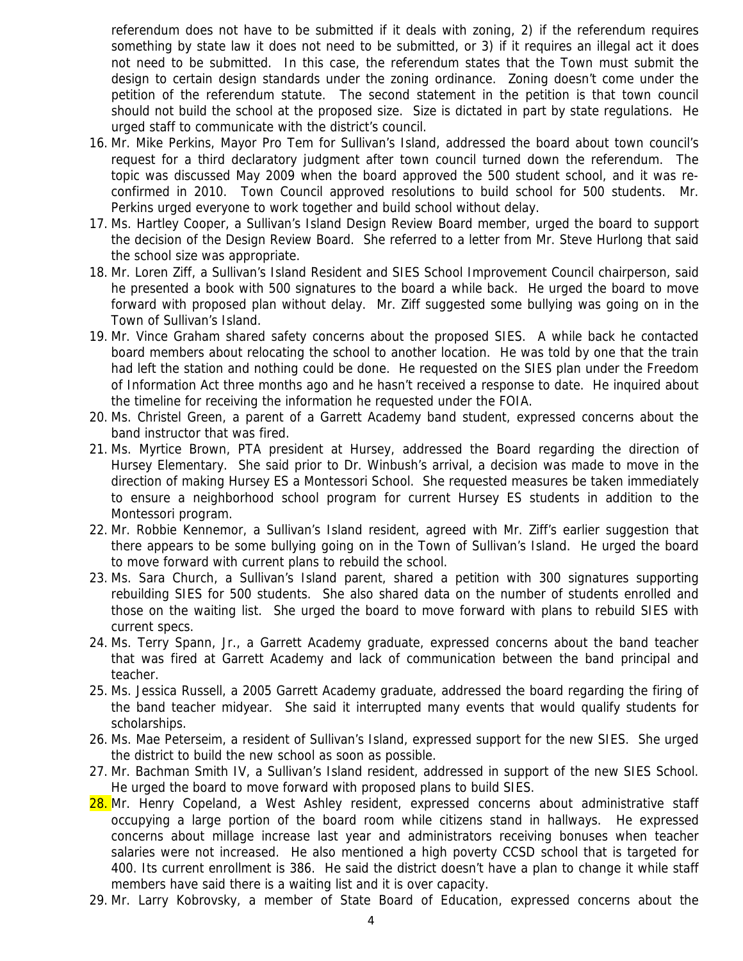referendum does not have to be submitted if it deals with zoning, 2) if the referendum requires something by state law it does not need to be submitted, or 3) if it requires an illegal act it does not need to be submitted. In this case, the referendum states that the Town must submit the design to certain design standards under the zoning ordinance. Zoning doesn't come under the petition of the referendum statute. The second statement in the petition is that town council should not build the school at the proposed size. Size is dictated in part by state regulations. He urged staff to communicate with the district's council.

- 16. Mr. Mike Perkins, Mayor Pro Tem for Sullivan's Island, addressed the board about town council's request for a third declaratory judgment after town council turned down the referendum. The topic was discussed May 2009 when the board approved the 500 student school, and it was reconfirmed in 2010. Town Council approved resolutions to build school for 500 students. Mr. Perkins urged everyone to work together and build school without delay.
- 17. Ms. Hartley Cooper, a Sullivan's Island Design Review Board member, urged the board to support the decision of the Design Review Board. She referred to a letter from Mr. Steve Hurlong that said the school size was appropriate.
- 18. Mr. Loren Ziff, a Sullivan's Island Resident and SIES School Improvement Council chairperson, said he presented a book with 500 signatures to the board a while back. He urged the board to move forward with proposed plan without delay. Mr. Ziff suggested some bullying was going on in the Town of Sullivan's Island.
- 19. Mr. Vince Graham shared safety concerns about the proposed SIES. A while back he contacted board members about relocating the school to another location. He was told by one that the train had left the station and nothing could be done. He requested on the SIES plan under the Freedom of Information Act three months ago and he hasn't received a response to date. He inquired about the timeline for receiving the information he requested under the FOIA.
- 20. Ms. Christel Green, a parent of a Garrett Academy band student, expressed concerns about the band instructor that was fired.
- 21. Ms. Myrtice Brown, PTA president at Hursey, addressed the Board regarding the direction of Hursey Elementary. She said prior to Dr. Winbush's arrival, a decision was made to move in the direction of making Hursey ES a Montessori School. She requested measures be taken immediately to ensure a neighborhood school program for current Hursey ES students in addition to the Montessori program.
- 22. Mr. Robbie Kennemor, a Sullivan's Island resident, agreed with Mr. Ziff's earlier suggestion that there appears to be some bullying going on in the Town of Sullivan's Island. He urged the board to move forward with current plans to rebuild the school.
- 23. Ms. Sara Church, a Sullivan's Island parent, shared a petition with 300 signatures supporting rebuilding SIES for 500 students. She also shared data on the number of students enrolled and those on the waiting list. She urged the board to move forward with plans to rebuild SIES with current specs.
- 24. Ms. Terry Spann, Jr., a Garrett Academy graduate, expressed concerns about the band teacher that was fired at Garrett Academy and lack of communication between the band principal and teacher.
- 25. Ms. Jessica Russell, a 2005 Garrett Academy graduate, addressed the board regarding the firing of the band teacher midyear. She said it interrupted many events that would qualify students for scholarships.
- 26. Ms. Mae Peterseim, a resident of Sullivan's Island, expressed support for the new SIES. She urged the district to build the new school as soon as possible.
- 27. Mr. Bachman Smith IV, a Sullivan's Island resident, addressed in support of the new SIES School. He urged the board to move forward with proposed plans to build SIES.
- 28. Mr. Henry Copeland, a West Ashley resident, expressed concerns about administrative staff occupying a large portion of the board room while citizens stand in hallways. He expressed concerns about millage increase last year and administrators receiving bonuses when teacher salaries were not increased. He also mentioned a high poverty CCSD school that is targeted for 400. Its current enrollment is 386. He said the district doesn't have a plan to change it while staff members have said there is a waiting list and it is over capacity.
- 29. Mr. Larry Kobrovsky, a member of State Board of Education, expressed concerns about the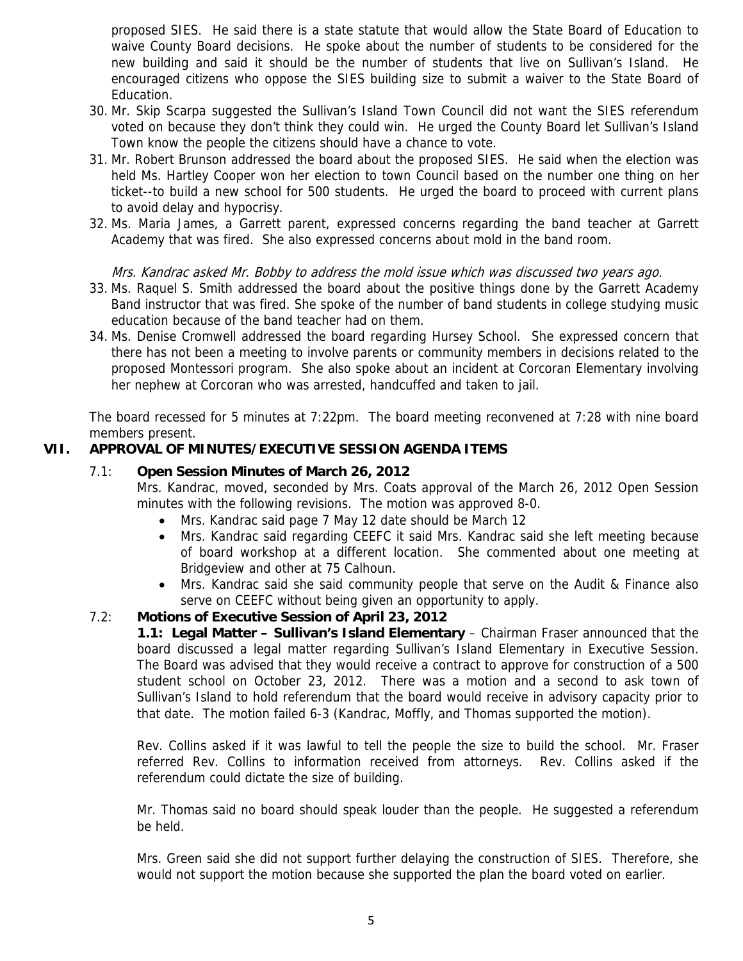proposed SIES. He said there is a state statute that would allow the State Board of Education to waive County Board decisions. He spoke about the number of students to be considered for the new building and said it should be the number of students that live on Sullivan's Island. He encouraged citizens who oppose the SIES building size to submit a waiver to the State Board of Education.

- 30. Mr. Skip Scarpa suggested the Sullivan's Island Town Council did not want the SIES referendum voted on because they don't think they could win. He urged the County Board let Sullivan's Island Town know the people the citizens should have a chance to vote.
- 31. Mr. Robert Brunson addressed the board about the proposed SIES. He said when the election was held Ms. Hartley Cooper won her election to town Council based on the number one thing on her ticket--to build a new school for 500 students. He urged the board to proceed with current plans to avoid delay and hypocrisy.
- 32. Ms. Maria James, a Garrett parent, expressed concerns regarding the band teacher at Garrett Academy that was fired. She also expressed concerns about mold in the band room.

## Mrs. Kandrac asked Mr. Bobby to address the mold issue which was discussed two years ago.

- 33. Ms. Raquel S. Smith addressed the board about the positive things done by the Garrett Academy Band instructor that was fired. She spoke of the number of band students in college studying music education because of the band teacher had on them.
- 34. Ms. Denise Cromwell addressed the board regarding Hursey School. She expressed concern that there has not been a meeting to involve parents or community members in decisions related to the proposed Montessori program. She also spoke about an incident at Corcoran Elementary involving her nephew at Corcoran who was arrested, handcuffed and taken to jail.

The board recessed for 5 minutes at 7:22pm. The board meeting reconvened at 7:28 with nine board members present.

# **VII. APPROVAL OF MINUTES/EXECUTIVE SESSION AGENDA ITEMS**

## 7.1: **Open Session Minutes of March 26, 2012**

Mrs. Kandrac, moved, seconded by Mrs. Coats approval of the March 26, 2012 Open Session minutes with the following revisions. The motion was approved 8-0.

- Mrs. Kandrac said page 7 May 12 date should be March 12
- Mrs. Kandrac said regarding CEEFC it said Mrs. Kandrac said she left meeting because of board workshop at a different location. She commented about one meeting at Bridgeview and other at 75 Calhoun.
- Mrs. Kandrac said she said community people that serve on the Audit & Finance also serve on CEEFC without being given an opportunity to apply.

## 7.2: **Motions of Executive Session of April 23, 2012**

**1.1: Legal Matter – Sullivan's Island Elementary** – Chairman Fraser announced that the board discussed a legal matter regarding Sullivan's Island Elementary in Executive Session. The Board was advised that they would receive a contract to approve for construction of a 500 student school on October 23, 2012. There was a motion and a second to ask town of Sullivan's Island to hold referendum that the board would receive in advisory capacity prior to that date. The motion failed 6-3 (Kandrac, Moffly, and Thomas supported the motion).

Rev. Collins asked if it was lawful to tell the people the size to build the school. Mr. Fraser referred Rev. Collins to information received from attorneys. Rev. Collins asked if the referendum could dictate the size of building.

Mr. Thomas said no board should speak louder than the people. He suggested a referendum be held.

Mrs. Green said she did not support further delaying the construction of SIES. Therefore, she would not support the motion because she supported the plan the board voted on earlier.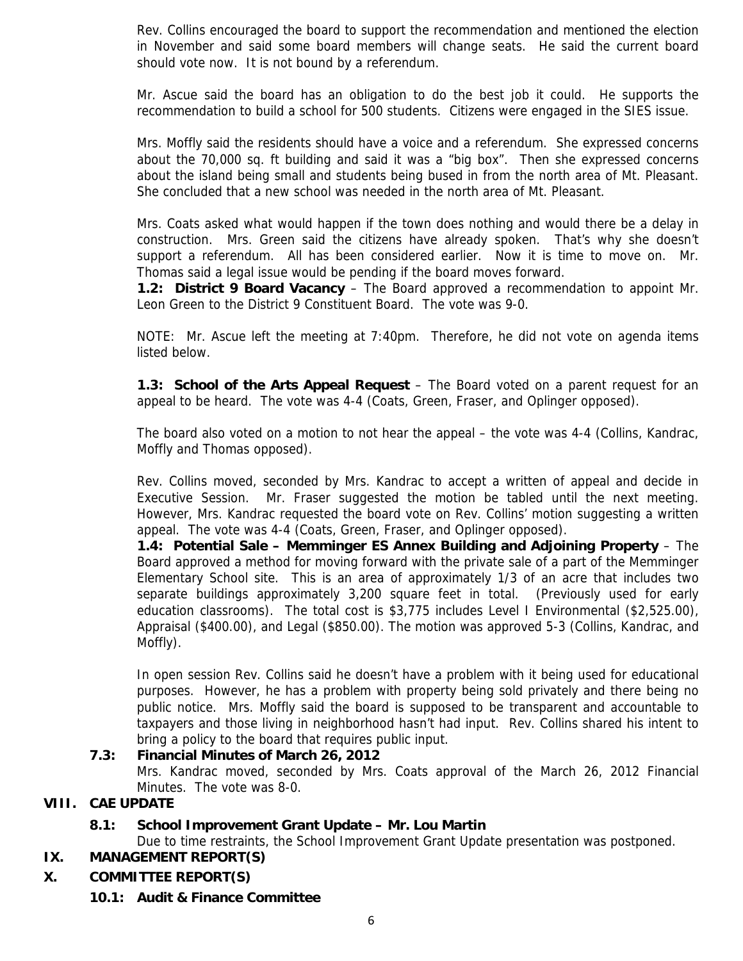Rev. Collins encouraged the board to support the recommendation and mentioned the election in November and said some board members will change seats. He said the current board should vote now. It is not bound by a referendum.

Mr. Ascue said the board has an obligation to do the best job it could. He supports the recommendation to build a school for 500 students. Citizens were engaged in the SIES issue.

Mrs. Moffly said the residents should have a voice and a referendum. She expressed concerns about the 70,000 sq. ft building and said it was a "big box". Then she expressed concerns about the island being small and students being bused in from the north area of Mt. Pleasant. She concluded that a new school was needed in the north area of Mt. Pleasant.

Mrs. Coats asked what would happen if the town does nothing and would there be a delay in construction. Mrs. Green said the citizens have already spoken. That's why she doesn't support a referendum. All has been considered earlier. Now it is time to move on. Mr. Thomas said a legal issue would be pending if the board moves forward.

**1.2: District 9 Board Vacancy** – The Board approved a recommendation to appoint Mr. Leon Green to the District 9 Constituent Board. The vote was 9-0.

NOTE: Mr. Ascue left the meeting at 7:40pm. Therefore, he did not vote on agenda items listed below.

**1.3: School of the Arts Appeal Request** – The Board voted on a parent request for an appeal to be heard. The vote was 4-4 (Coats, Green, Fraser, and Oplinger opposed).

The board also voted on a motion to not hear the appeal – the vote was 4-4 (Collins, Kandrac, Moffly and Thomas opposed).

Rev. Collins moved, seconded by Mrs. Kandrac to accept a written of appeal and decide in Executive Session. Mr. Fraser suggested the motion be tabled until the next meeting. However, Mrs. Kandrac requested the board vote on Rev. Collins' motion suggesting a written appeal. The vote was 4-4 (Coats, Green, Fraser, and Oplinger opposed).

**1.4: Potential Sale – Memminger ES Annex Building and Adjoining Property** – The Board approved a method for moving forward with the private sale of a part of the Memminger Elementary School site. This is an area of approximately 1/3 of an acre that includes two separate buildings approximately 3,200 square feet in total. (Previously used for early education classrooms). The total cost is \$3,775 includes Level I Environmental (\$2,525.00), Appraisal (\$400.00), and Legal (\$850.00). The motion was approved 5-3 (Collins, Kandrac, and Moffly).

In open session Rev. Collins said he doesn't have a problem with it being used for educational purposes. However, he has a problem with property being sold privately and there being no public notice. Mrs. Moffly said the board is supposed to be transparent and accountable to taxpayers and those living in neighborhood hasn't had input. Rev. Collins shared his intent to bring a policy to the board that requires public input.

## **7.3: Financial Minutes of March 26, 2012**

Mrs. Kandrac moved, seconded by Mrs. Coats approval of the March 26, 2012 Financial Minutes. The vote was 8-0.

# **VIII. CAE UPDATE**

# **8.1: School Improvement Grant Update – Mr. Lou Martin**

Due to time restraints, the School Improvement Grant Update presentation was postponed.

- **IX. MANAGEMENT REPORT(S)**
- **X. COMMITTEE REPORT(S)**
	- **10.1: Audit & Finance Committee**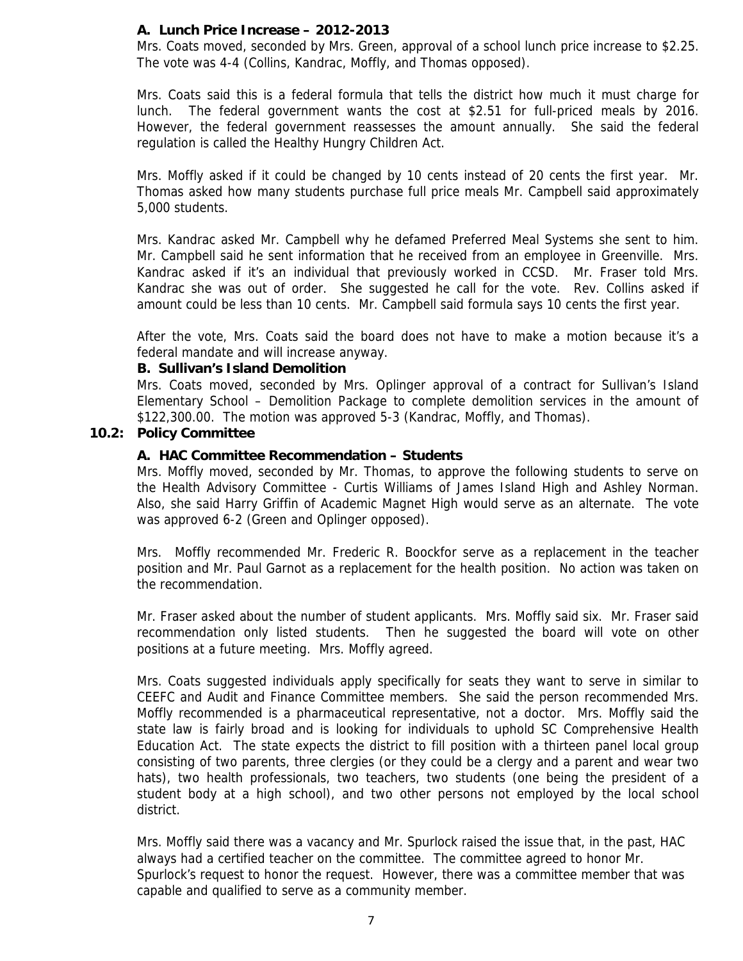## **A. Lunch Price Increase – 2012-2013**

Mrs. Coats moved, seconded by Mrs. Green, approval of a school lunch price increase to \$2.25. The vote was 4-4 (Collins, Kandrac, Moffly, and Thomas opposed).

Mrs. Coats said this is a federal formula that tells the district how much it must charge for lunch. The federal government wants the cost at \$2.51 for full-priced meals by 2016. However, the federal government reassesses the amount annually. She said the federal regulation is called the Healthy Hungry Children Act.

Mrs. Moffly asked if it could be changed by 10 cents instead of 20 cents the first year. Mr. Thomas asked how many students purchase full price meals Mr. Campbell said approximately 5,000 students.

Mrs. Kandrac asked Mr. Campbell why he defamed Preferred Meal Systems she sent to him. Mr. Campbell said he sent information that he received from an employee in Greenville. Mrs. Kandrac asked if it's an individual that previously worked in CCSD. Mr. Fraser told Mrs. Kandrac she was out of order. She suggested he call for the vote. Rev. Collins asked if amount could be less than 10 cents. Mr. Campbell said formula says 10 cents the first year.

After the vote, Mrs. Coats said the board does not have to make a motion because it's a federal mandate and will increase anyway.

### **B. Sullivan's Island Demolition**

Mrs. Coats moved, seconded by Mrs. Oplinger approval of a contract for Sullivan's Island Elementary School – Demolition Package to complete demolition services in the amount of \$122,300.00. The motion was approved 5-3 (Kandrac, Moffly, and Thomas).

## **10.2: Policy Committee**

## **A. HAC Committee Recommendation – Students**

Mrs. Moffly moved, seconded by Mr. Thomas, to approve the following students to serve on the Health Advisory Committee - Curtis Williams of James Island High and Ashley Norman. Also, she said Harry Griffin of Academic Magnet High would serve as an alternate. The vote was approved 6-2 (Green and Oplinger opposed).

Mrs. Moffly recommended Mr. Frederic R. Boockfor serve as a replacement in the teacher position and Mr. Paul Garnot as a replacement for the health position. No action was taken on the recommendation.

Mr. Fraser asked about the number of student applicants. Mrs. Moffly said six. Mr. Fraser said recommendation only listed students. Then he suggested the board will vote on other positions at a future meeting. Mrs. Moffly agreed.

Mrs. Coats suggested individuals apply specifically for seats they want to serve in similar to CEEFC and Audit and Finance Committee members. She said the person recommended Mrs. Moffly recommended is a pharmaceutical representative, not a doctor. Mrs. Moffly said the state law is fairly broad and is looking for individuals to uphold SC Comprehensive Health Education Act. The state expects the district to fill position with a thirteen panel local group consisting of two parents, three clergies (or they could be a clergy and a parent and wear two hats), two health professionals, two teachers, two students (one being the president of a student body at a high school), and two other persons not employed by the local school district.

Mrs. Moffly said there was a vacancy and Mr. Spurlock raised the issue that, in the past, HAC always had a certified teacher on the committee. The committee agreed to honor Mr. Spurlock's request to honor the request. However, there was a committee member that was capable and qualified to serve as a community member.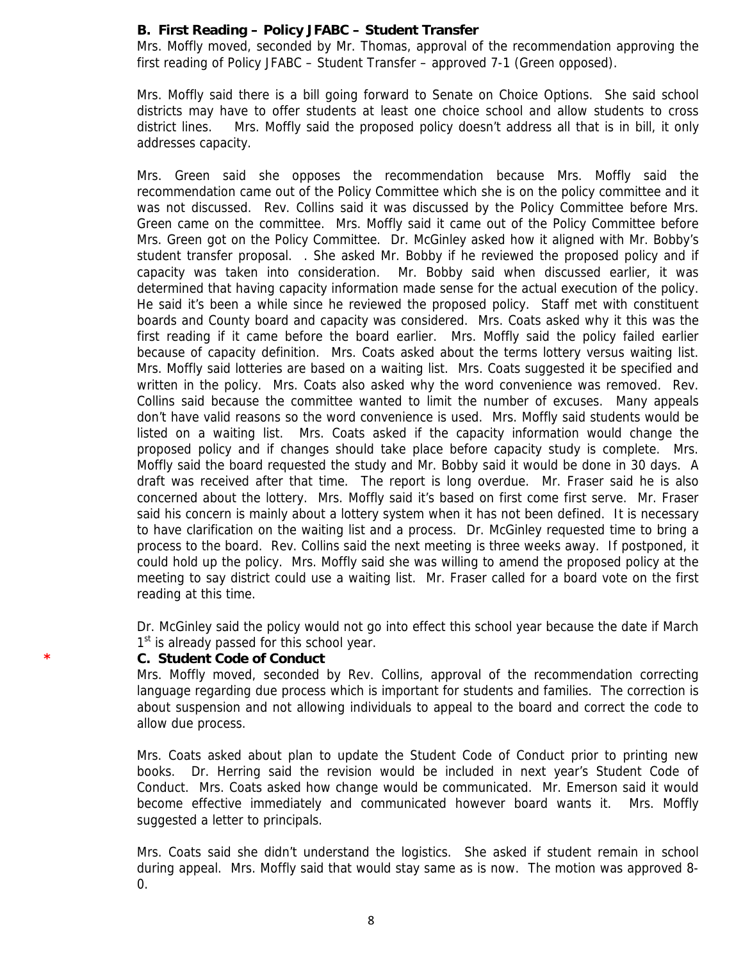## **B. First Reading – Policy JFABC – Student Transfer**

Mrs. Moffly moved, seconded by Mr. Thomas, approval of the recommendation approving the first reading of Policy JFABC – Student Transfer – approved 7-1 (Green opposed).

Mrs. Moffly said there is a bill going forward to Senate on Choice Options. She said school districts may have to offer students at least one choice school and allow students to cross district lines. Mrs. Moffly said the proposed policy doesn't address all that is in bill, it only addresses capacity.

Mrs. Green said she opposes the recommendation because Mrs. Moffly said the recommendation came out of the Policy Committee which she is on the policy committee and it was not discussed. Rev. Collins said it was discussed by the Policy Committee before Mrs. Green came on the committee. Mrs. Moffly said it came out of the Policy Committee before Mrs. Green got on the Policy Committee. Dr. McGinley asked how it aligned with Mr. Bobby's student transfer proposal. . She asked Mr. Bobby if he reviewed the proposed policy and if capacity was taken into consideration. Mr. Bobby said when discussed earlier, it was determined that having capacity information made sense for the actual execution of the policy. He said it's been a while since he reviewed the proposed policy. Staff met with constituent boards and County board and capacity was considered. Mrs. Coats asked why it this was the first reading if it came before the board earlier. Mrs. Moffly said the policy failed earlier because of capacity definition. Mrs. Coats asked about the terms lottery versus waiting list. Mrs. Moffly said lotteries are based on a waiting list. Mrs. Coats suggested it be specified and written in the policy. Mrs. Coats also asked why the word convenience was removed. Rev. Collins said because the committee wanted to limit the number of excuses. Many appeals don't have valid reasons so the word convenience is used. Mrs. Moffly said students would be listed on a waiting list. Mrs. Coats asked if the capacity information would change the proposed policy and if changes should take place before capacity study is complete. Mrs. Moffly said the board requested the study and Mr. Bobby said it would be done in 30 days. A draft was received after that time. The report is long overdue. Mr. Fraser said he is also concerned about the lottery. Mrs. Moffly said it's based on first come first serve. Mr. Fraser said his concern is mainly about a lottery system when it has not been defined. It is necessary to have clarification on the waiting list and a process. Dr. McGinley requested time to bring a process to the board. Rev. Collins said the next meeting is three weeks away. If postponed, it could hold up the policy. Mrs. Moffly said she was willing to amend the proposed policy at the meeting to say district could use a waiting list. Mr. Fraser called for a board vote on the first reading at this time.

Dr. McGinley said the policy would not go into effect this school year because the date if March  $1<sup>st</sup>$  is already passed for this school year.

#### **\* C. Student Code of Conduct**

Mrs. Moffly moved, seconded by Rev. Collins, approval of the recommendation correcting language regarding due process which is important for students and families. The correction is about suspension and not allowing individuals to appeal to the board and correct the code to allow due process.

Mrs. Coats asked about plan to update the Student Code of Conduct prior to printing new books. Dr. Herring said the revision would be included in next year's Student Code of Conduct. Mrs. Coats asked how change would be communicated. Mr. Emerson said it would become effective immediately and communicated however board wants it. Mrs. Moffly suggested a letter to principals.

Mrs. Coats said she didn't understand the logistics. She asked if student remain in school during appeal. Mrs. Moffly said that would stay same as is now. The motion was approved 8- 0.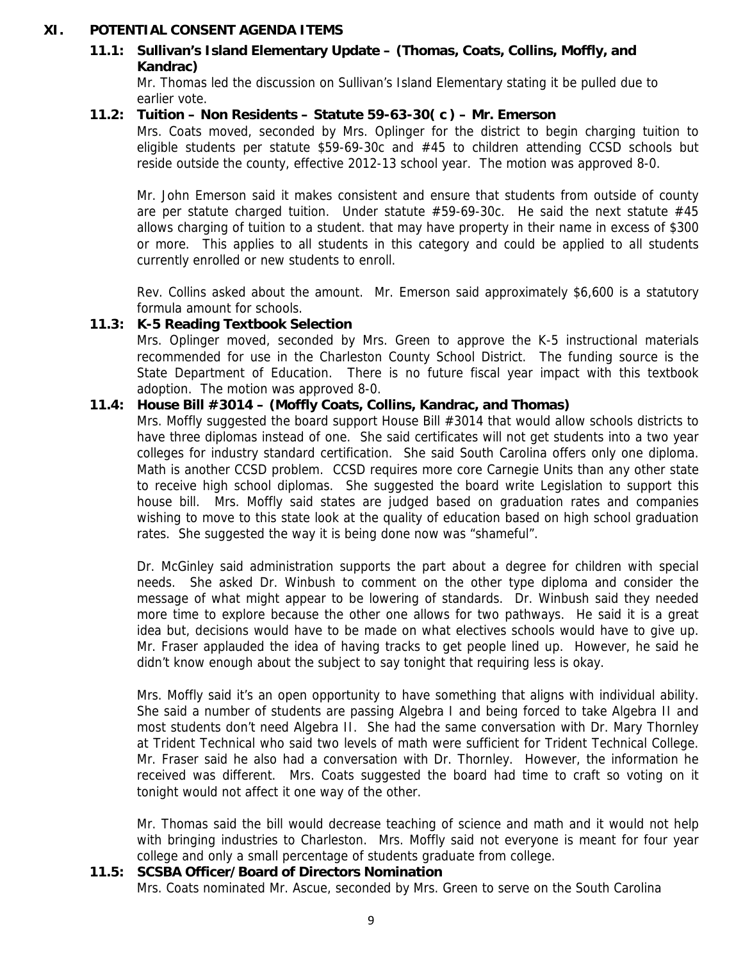## **XI. POTENTIAL CONSENT AGENDA ITEMS**

# **11.1: Sullivan's Island Elementary Update – (Thomas, Coats, Collins, Moffly, and Kandrac)**

Mr. Thomas led the discussion on Sullivan's Island Elementary stating it be pulled due to earlier vote.

## **11.2: Tuition – Non Residents – Statute 59-63-30( c ) – Mr. Emerson**

Mrs. Coats moved, seconded by Mrs. Oplinger for the district to begin charging tuition to eligible students per statute \$59-69-30c and #45 to children attending CCSD schools but reside outside the county, effective 2012-13 school year. The motion was approved 8-0.

Mr. John Emerson said it makes consistent and ensure that students from outside of county are per statute charged tuition. Under statute  $#59-69-30c$ . He said the next statute  $#45$ allows charging of tuition to a student. that may have property in their name in excess of \$300 or more. This applies to all students in this category and could be applied to all students currently enrolled or new students to enroll.

Rev. Collins asked about the amount. Mr. Emerson said approximately \$6,600 is a statutory formula amount for schools.

## **11.3: K-5 Reading Textbook Selection**

Mrs. Oplinger moved, seconded by Mrs. Green to approve the K-5 instructional materials recommended for use in the Charleston County School District. The funding source is the State Department of Education. There is no future fiscal year impact with this textbook adoption. The motion was approved 8-0.

## **11.4: House Bill #3014 – (Moffly Coats, Collins, Kandrac, and Thomas)**

Mrs. Moffly suggested the board support House Bill #3014 that would allow schools districts to have three diplomas instead of one. She said certificates will not get students into a two year colleges for industry standard certification. She said South Carolina offers only one diploma. Math is another CCSD problem. CCSD requires more core Carnegie Units than any other state to receive high school diplomas. She suggested the board write Legislation to support this house bill. Mrs. Moffly said states are judged based on graduation rates and companies wishing to move to this state look at the quality of education based on high school graduation rates. She suggested the way it is being done now was "shameful".

Dr. McGinley said administration supports the part about a degree for children with special needs. She asked Dr. Winbush to comment on the other type diploma and consider the message of what might appear to be lowering of standards. Dr. Winbush said they needed more time to explore because the other one allows for two pathways. He said it is a great idea but, decisions would have to be made on what electives schools would have to give up. Mr. Fraser applauded the idea of having tracks to get people lined up. However, he said he didn't know enough about the subject to say tonight that requiring less is okay.

Mrs. Moffly said it's an open opportunity to have something that aligns with individual ability. She said a number of students are passing Algebra I and being forced to take Algebra II and most students don't need Algebra II. She had the same conversation with Dr. Mary Thornley at Trident Technical who said two levels of math were sufficient for Trident Technical College. Mr. Fraser said he also had a conversation with Dr. Thornley. However, the information he received was different. Mrs. Coats suggested the board had time to craft so voting on it tonight would not affect it one way of the other.

Mr. Thomas said the bill would decrease teaching of science and math and it would not help with bringing industries to Charleston. Mrs. Moffly said not everyone is meant for four year college and only a small percentage of students graduate from college.

### **11.5: SCSBA Officer/Board of Directors Nomination**

Mrs. Coats nominated Mr. Ascue, seconded by Mrs. Green to serve on the South Carolina